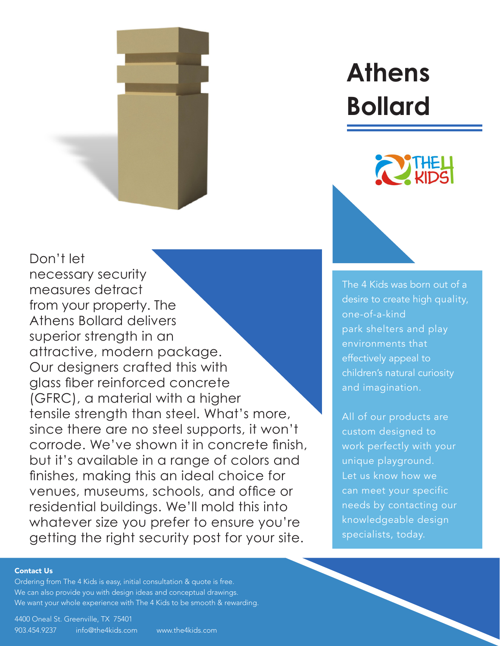

Don't let necessary security measures detract from your property. The Athens Bollard delivers superior strength in an attractive, modern package. Our designers crafted this with glass fiber reinforced concrete (GFRC), a material with a higher tensile strength than steel. What's more, since there are no steel supports, it won't [corrode. We've shown it in concrete finish,](https://www.the4kids.com/product/athens-bollard.html) but it's available in a range of colors and finishes, making this an ideal choice for venues, museums, schools, and office or residential buildings. We'll mold this into whatever size you prefer to ensure you're getting the right security post for your site.

# **[Athens](https://www.the4kids.com/products/transportation/)  Bollard**



The 4 Kids was born out of a [desire to create high quality,](https://www.the4kids.com/about.html)  one-of-a-kind park shelters and play environments that effectively appeal to children's natural curiosity and imagination.

All of our products are custom designed to work perfectly with your unique playground. Let us know how we can meet your specific needs by contacting our knowledgeable design specialists, today.

#### [Contact Us](https://www.the4kids.com/contact-us.html)

Ordering from [The 4 Kids](https://www.the4kids.com) is easy, initial consultation & quote is free. We can also provide you with design ideas and conceptual drawings. We want your whole experience with [The 4 Kids](https://www.the4kids.com) to be smooth & rewarding.

[4400 Oneal St. Greenville, TX 75401](https://www.the4kids.com/contact-us.html) [903.454.9237](https://www.the4kids.com/contact-us.html) [info@the4kids.com](mailto:info%40the4kids.com?subject=) [www.the4kids.com](https://www.the4kids.com)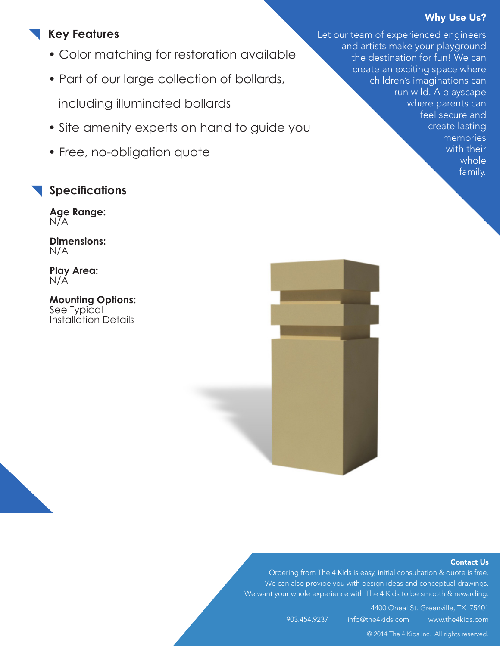### Why Use Us?

## **Key Features**

- Color matching for restoration available
- Part of our large collection of bollards, including illuminated bollards
- Site amenity experts on hand to guide you
- Free, no-obligation quote

## **Specifications**

**Age Range:**  N/A

**Dimensions:**  N/A

**Play Area:**  N/A

**Mounting Options:**  See Typical [Installation Details](https://www.the4kids.com/documents.html)





#### [Contact Us](https://www.the4kids.com/contact-us.html)

Ordering from [The 4 Kids](https://www.the4kids.com) is easy, initial consultation & quote is free. We can also provide you with design ideas and conceptual drawings. We want your whole experience with [The 4 Kids](https://www.the4kids.com) to be smooth & rewarding.

> [4400 Oneal St. Greenville, TX 75401](https://www.the4kids.com/contact-us.html) [903.454.9237](https://www.the4kids.com/contact-us.html) [info@the4kids.com](mailto:info%40the4kids.com?subject=) [www.the4kids.com](https://www.the4kids.com)

> > [© 2014 The 4 Kids Inc. All rights reserved.](https://www.the4kids.com)